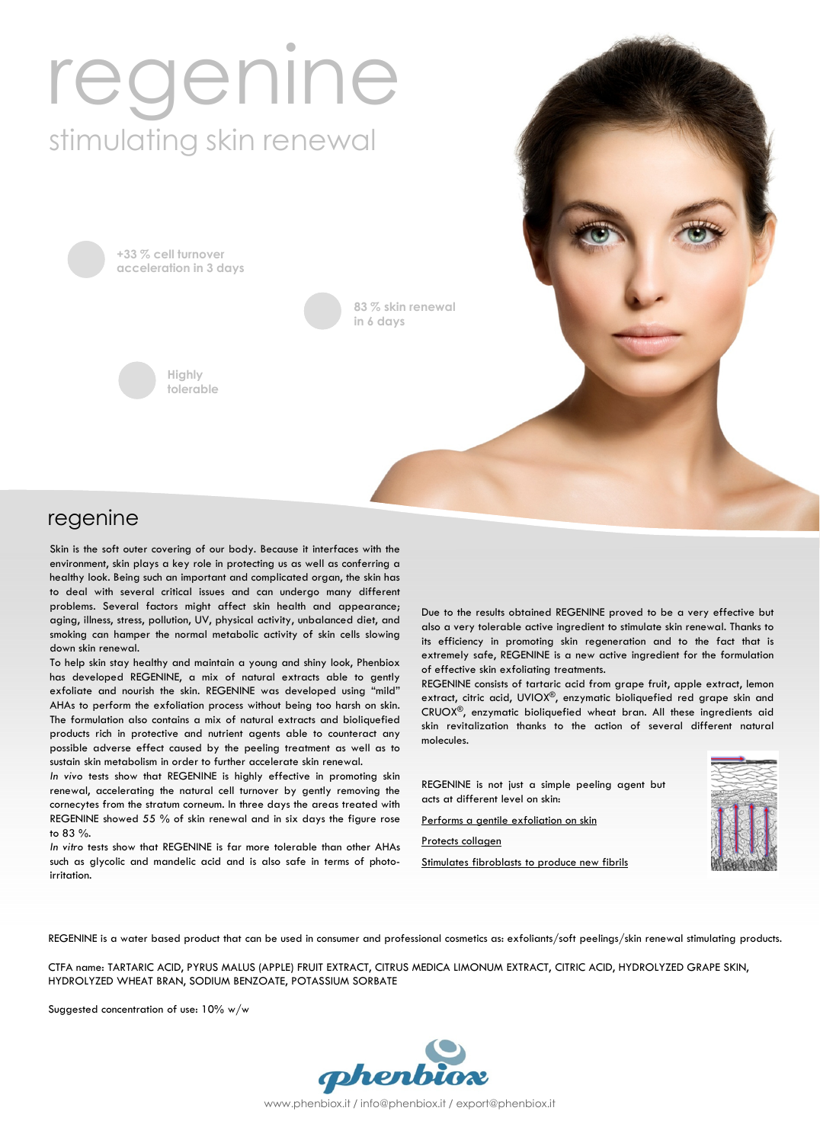# regenine stimulating skin renewal

+33 % cell turnover acceleration in 3 days



83 % skin renewal in 6 days

## regenine

Skin is the soft outer covering of our body. Because it interfaces with the environment, skin plays a key role in protecting us as well as conferring a healthy look. Being such an important and complicated organ, the skin has to deal with several critical issues and can undergo many different problems. Several factors might affect skin health and appearance; aging, illness, stress, pollution, UV, physical activity, unbalanced diet, and smoking can hamper the normal metabolic activity of skin cells slowing down skin renewal.

To help skin stay healthy and maintain a young and shiny look, Phenbiox has developed REGENINE, a mix of natural extracts able to gently exfoliate and nourish the skin. REGENINE was developed using "mild" AHAs to perform the exfoliation process without being too harsh on skin. The formulation also contains a mix of natural extracts and bioliquefied products rich in protective and nutrient agents able to counteract any possible adverse effect caused by the peeling treatment as well as to sustain skin metabolism in order to further accelerate skin renewal.

In vivo tests show that REGENINE is highly effective in promoting skin renewal, accelerating the natural cell turnover by gently removing the cornecytes from the stratum corneum. In three days the areas treated with REGENINE showed 55 % of skin renewal and in six days the figure rose to 83 %.

In vitro tests show that REGENINE is far more tolerable than other AHAs such as glycolic and mandelic acid and is also safe in terms of photoirritation.

Due to the results obtained REGENINE proved to be a very effective but also a very tolerable active ingredient to stimulate skin renewal. Thanks to its efficiency in promoting skin regeneration and to the fact that is extremely safe, REGENINE is a new active ingredient for the formulation of effective skin exfoliating treatments.

REGENINE consists of tartaric acid from grape fruit, apple extract, lemon extract, citric acid, UVIOX®, enzymatic bioliquefied red grape skin and CRUOX®, enzymatic bioliquefied wheat bran. All these ingredients aid skin revitalization thanks to the action of several different natural molecules.

REGENINE is not just a simple peeling agent but acts at different level on skin:

Performs a gentile exfoliation on skin

Protects collagen

Stimulates fibroblasts to produce new fibrils



REGENINE is a water based product that can be used in consumer and professional cosmetics as: exfoliants/soft peelings/skin renewal stimulating products.

CTFA name: TARTARIC ACID, PYRUS MALUS (APPLE) FRUIT EXTRACT, CITRUS MEDICA LIMONUM EXTRACT, CITRIC ACID, HYDROLYZED GRAPE SKIN, HYDROLYZED WHEAT BRAN, SODIUM BENZOATE, POTASSIUM SORBATE

Suggested concentration of use: 10% w/w



www.phenbiox.it / info@phenbiox.it / export@phenbiox.it